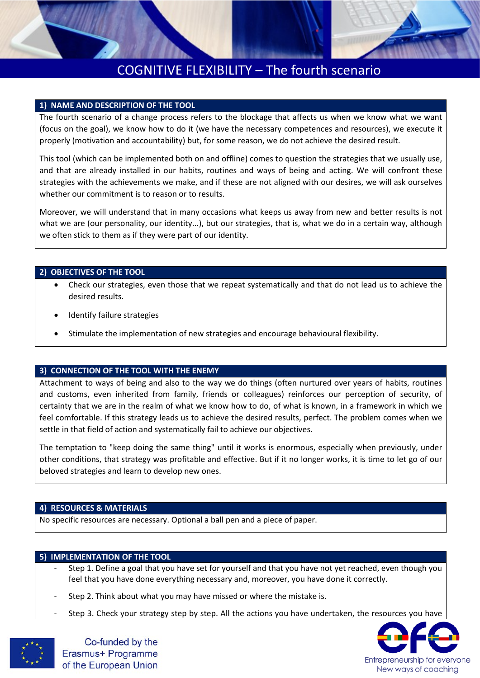# COGNITIVE FLEXIBILITY – The fourth scenario

#### **1) NAME AND DESCRIPTION OF THE TOOL**

The fourth scenario of a change process refers to the blockage that affects us when we know what we want (focus on the goal), we know how to do it (we have the necessary competences and resources), we execute it properly (motivation and accountability) but, for some reason, we do not achieve the desired result.

This tool (which can be implemented both on and offline) comes to question the strategies that we usually use, and that are already installed in our habits, routines and ways of being and acting. We will confront these strategies with the achievements we make, and if these are not aligned with our desires, we will ask ourselves whether our commitment is to reason or to results.

Moreover, we will understand that in many occasions what keeps us away from new and better results is not what we are (our personality, our identity...), but our strategies, that is, what we do in a certain way, although we often stick to them as if they were part of our identity.

#### **2) OBJECTIVES OF THE TOOL**

- Check our strategies, even those that we repeat systematically and that do not lead us to achieve the desired results.
- Identify failure strategies
- Stimulate the implementation of new strategies and encourage behavioural flexibility.

### **3) CONNECTION OF THE TOOL WITH THE ENEMY**

Attachment to ways of being and also to the way we do things (often nurtured over years of habits, routines and customs, even inherited from family, friends or colleagues) reinforces our perception of security, of certainty that we are in the realm of what we know how to do, of what is known, in a framework in which we feel comfortable. If this strategy leads us to achieve the desired results, perfect. The problem comes when we settle in that field of action and systematically fail to achieve our objectives.

The temptation to "keep doing the same thing" until it works is enormous, especially when previously, under other conditions, that strategy was profitable and effective. But if it no longer works, it is time to let go of our beloved strategies and learn to develop new ones.

#### **4) RESOURCES & MATERIALS**

No specific resources are necessary. Optional a ball pen and a piece of paper.

#### **5) IMPLEMENTATION OF THE TOOL**

- Step 1. Define a goal that you have set for yourself and that you have not yet reached, even though you feel that you have done everything necessary and, moreover, you have done it correctly.
- Step 2. Think about what you may have missed or where the mistake is.
- Step 3. Check your strategy step by step. All the actions you have undertaken, the resources you have



Co-funded by the Erasmus+ Programme of the European Union